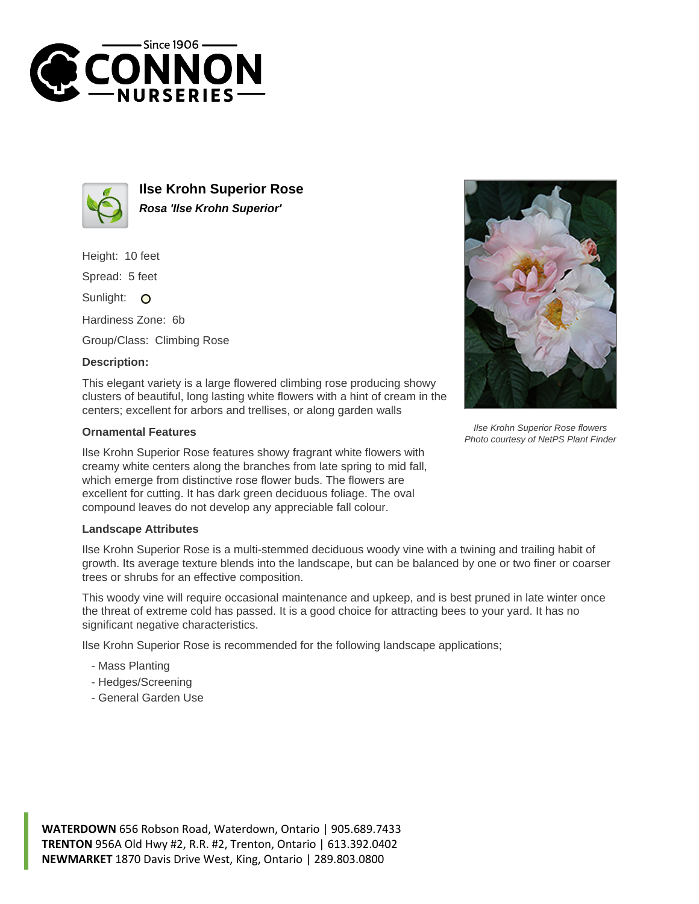



**Ilse Krohn Superior Rose Rosa 'Ilse Krohn Superior'**

Height: 10 feet

Spread: 5 feet

Sunlight: O

Hardiness Zone: 6b

Group/Class: Climbing Rose

## **Description:**

This elegant variety is a large flowered climbing rose producing showy clusters of beautiful, long lasting white flowers with a hint of cream in the centers; excellent for arbors and trellises, or along garden walls

## **Ornamental Features**

Ilse Krohn Superior Rose features showy fragrant white flowers with creamy white centers along the branches from late spring to mid fall, which emerge from distinctive rose flower buds. The flowers are excellent for cutting. It has dark green deciduous foliage. The oval compound leaves do not develop any appreciable fall colour.

## **Landscape Attributes**

Ilse Krohn Superior Rose is a multi-stemmed deciduous woody vine with a twining and trailing habit of growth. Its average texture blends into the landscape, but can be balanced by one or two finer or coarser trees or shrubs for an effective composition.

This woody vine will require occasional maintenance and upkeep, and is best pruned in late winter once the threat of extreme cold has passed. It is a good choice for attracting bees to your yard. It has no significant negative characteristics.

Ilse Krohn Superior Rose is recommended for the following landscape applications;

- Mass Planting
- Hedges/Screening
- General Garden Use



Ilse Krohn Superior Rose flowers Photo courtesy of NetPS Plant Finder